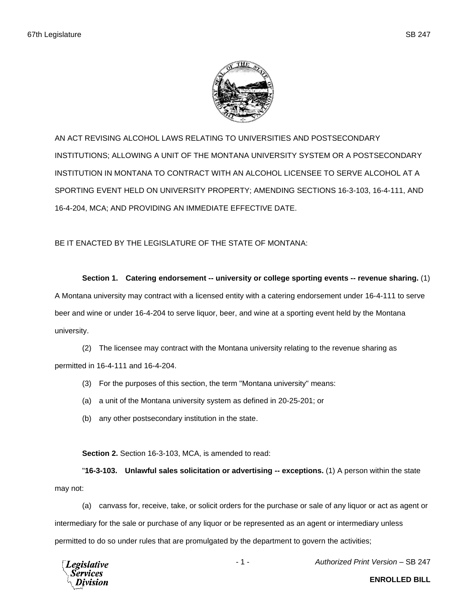

AN ACT REVISING ALCOHOL LAWS RELATING TO UNIVERSITIES AND POSTSECONDARY INSTITUTIONS; ALLOWING A UNIT OF THE MONTANA UNIVERSITY SYSTEM OR A POSTSECONDARY INSTITUTION IN MONTANA TO CONTRACT WITH AN ALCOHOL LICENSEE TO SERVE ALCOHOL AT A SPORTING EVENT HELD ON UNIVERSITY PROPERTY; AMENDING SECTIONS 16-3-103, 16-4-111, AND 16-4-204, MCA; AND PROVIDING AN IMMEDIATE EFFECTIVE DATE.

BE IT ENACTED BY THE LEGISLATURE OF THE STATE OF MONTANA:

**Section 1. Catering endorsement -- university or college sporting events -- revenue sharing.** (1) A Montana university may contract with a licensed entity with a catering endorsement under 16-4-111 to serve beer and wine or under 16-4-204 to serve liquor, beer, and wine at a sporting event held by the Montana university.

(2) The licensee may contract with the Montana university relating to the revenue sharing as permitted in 16-4-111 and 16-4-204.

- (3) For the purposes of this section, the term "Montana university" means:
- (a) a unit of the Montana university system as defined in 20-25-201; or
- (b) any other postsecondary institution in the state.

**Section 2.** Section 16-3-103, MCA, is amended to read:

"**16-3-103. Unlawful sales solicitation or advertising -- exceptions.** (1) A person within the state may not:

(a) canvass for, receive, take, or solicit orders for the purchase or sale of any liquor or act as agent or intermediary for the sale or purchase of any liquor or be represented as an agent or intermediary unless permitted to do so under rules that are promulgated by the department to govern the activities;



- 1 - *Authorized Print Version* – SB 247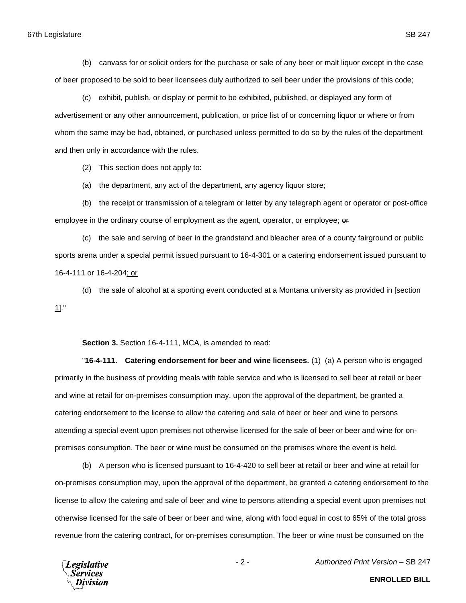(b) canvass for or solicit orders for the purchase or sale of any beer or malt liquor except in the case of beer proposed to be sold to beer licensees duly authorized to sell beer under the provisions of this code;

(c) exhibit, publish, or display or permit to be exhibited, published, or displayed any form of advertisement or any other announcement, publication, or price list of or concerning liquor or where or from whom the same may be had, obtained, or purchased unless permitted to do so by the rules of the department and then only in accordance with the rules.

(2) This section does not apply to:

(a) the department, any act of the department, any agency liquor store;

(b) the receipt or transmission of a telegram or letter by any telegraph agent or operator or post-office employee in the ordinary course of employment as the agent, operator, or employee; or

(c) the sale and serving of beer in the grandstand and bleacher area of a county fairground or public sports arena under a special permit issued pursuant to 16-4-301 or a catering endorsement issued pursuant to 16-4-111 or 16-4-204; or

(d) the sale of alcohol at a sporting event conducted at a Montana university as provided in [section 1]."

**Section 3.** Section 16-4-111, MCA, is amended to read:

"**16-4-111. Catering endorsement for beer and wine licensees.** (1) (a) A person who is engaged primarily in the business of providing meals with table service and who is licensed to sell beer at retail or beer and wine at retail for on-premises consumption may, upon the approval of the department, be granted a catering endorsement to the license to allow the catering and sale of beer or beer and wine to persons attending a special event upon premises not otherwise licensed for the sale of beer or beer and wine for onpremises consumption. The beer or wine must be consumed on the premises where the event is held.

(b) A person who is licensed pursuant to 16-4-420 to sell beer at retail or beer and wine at retail for on-premises consumption may, upon the approval of the department, be granted a catering endorsement to the license to allow the catering and sale of beer and wine to persons attending a special event upon premises not otherwise licensed for the sale of beer or beer and wine, along with food equal in cost to 65% of the total gross revenue from the catering contract, for on-premises consumption. The beer or wine must be consumed on the



- 2 - *Authorized Print Version* – SB 247

**ENROLLED BILL**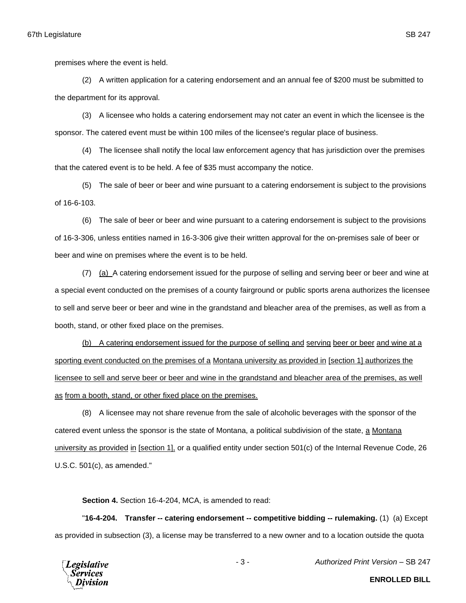premises where the event is held.

(2) A written application for a catering endorsement and an annual fee of \$200 must be submitted to the department for its approval.

(3) A licensee who holds a catering endorsement may not cater an event in which the licensee is the sponsor. The catered event must be within 100 miles of the licensee's regular place of business.

(4) The licensee shall notify the local law enforcement agency that has jurisdiction over the premises that the catered event is to be held. A fee of \$35 must accompany the notice.

(5) The sale of beer or beer and wine pursuant to a catering endorsement is subject to the provisions of 16-6-103.

(6) The sale of beer or beer and wine pursuant to a catering endorsement is subject to the provisions of 16-3-306, unless entities named in 16-3-306 give their written approval for the on-premises sale of beer or beer and wine on premises where the event is to be held.

(7) (a) A catering endorsement issued for the purpose of selling and serving beer or beer and wine at a special event conducted on the premises of a county fairground or public sports arena authorizes the licensee to sell and serve beer or beer and wine in the grandstand and bleacher area of the premises, as well as from a booth, stand, or other fixed place on the premises.

(b) A catering endorsement issued for the purpose of selling and serving beer or beer and wine at a sporting event conducted on the premises of a Montana university as provided in [section 1] authorizes the licensee to sell and serve beer or beer and wine in the grandstand and bleacher area of the premises, as well as from a booth, stand, or other fixed place on the premises.

(8) A licensee may not share revenue from the sale of alcoholic beverages with the sponsor of the catered event unless the sponsor is the state of Montana, a political subdivision of the state, a Montana university as provided in [section 1], or a qualified entity under section 501(c) of the Internal Revenue Code, 26 U.S.C. 501(c), as amended."

**Section 4.** Section 16-4-204, MCA, is amended to read:

"**16-4-204. Transfer -- catering endorsement -- competitive bidding -- rulemaking.** (1) (a) Except as provided in subsection (3), a license may be transferred to a new owner and to a location outside the quota



- 3 - *Authorized Print Version* – SB 247

**ENROLLED BILL**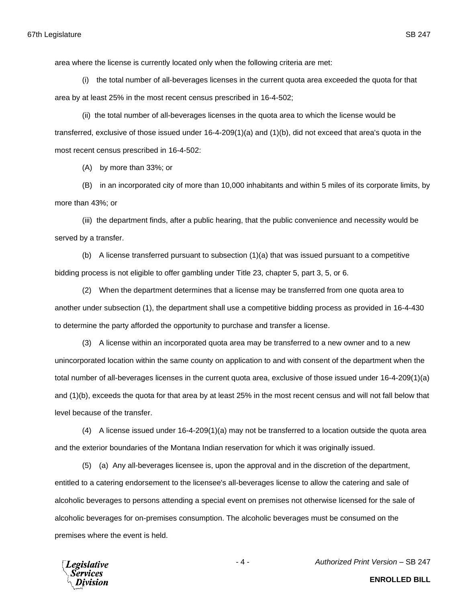area where the license is currently located only when the following criteria are met:

(i) the total number of all-beverages licenses in the current quota area exceeded the quota for that area by at least 25% in the most recent census prescribed in 16-4-502;

(ii) the total number of all-beverages licenses in the quota area to which the license would be transferred, exclusive of those issued under 16-4-209(1)(a) and (1)(b), did not exceed that area's quota in the most recent census prescribed in 16-4-502:

(A) by more than 33%; or

(B) in an incorporated city of more than 10,000 inhabitants and within 5 miles of its corporate limits, by more than 43%; or

(iii) the department finds, after a public hearing, that the public convenience and necessity would be served by a transfer.

(b) A license transferred pursuant to subsection (1)(a) that was issued pursuant to a competitive bidding process is not eligible to offer gambling under Title 23, chapter 5, part 3, 5, or 6.

(2) When the department determines that a license may be transferred from one quota area to another under subsection (1), the department shall use a competitive bidding process as provided in 16-4-430 to determine the party afforded the opportunity to purchase and transfer a license.

(3) A license within an incorporated quota area may be transferred to a new owner and to a new unincorporated location within the same county on application to and with consent of the department when the total number of all-beverages licenses in the current quota area, exclusive of those issued under 16-4-209(1)(a) and (1)(b), exceeds the quota for that area by at least 25% in the most recent census and will not fall below that level because of the transfer.

(4) A license issued under 16-4-209(1)(a) may not be transferred to a location outside the quota area and the exterior boundaries of the Montana Indian reservation for which it was originally issued.

(5) (a) Any all-beverages licensee is, upon the approval and in the discretion of the department, entitled to a catering endorsement to the licensee's all-beverages license to allow the catering and sale of alcoholic beverages to persons attending a special event on premises not otherwise licensed for the sale of alcoholic beverages for on-premises consumption. The alcoholic beverages must be consumed on the premises where the event is held.



**ENROLLED BILL**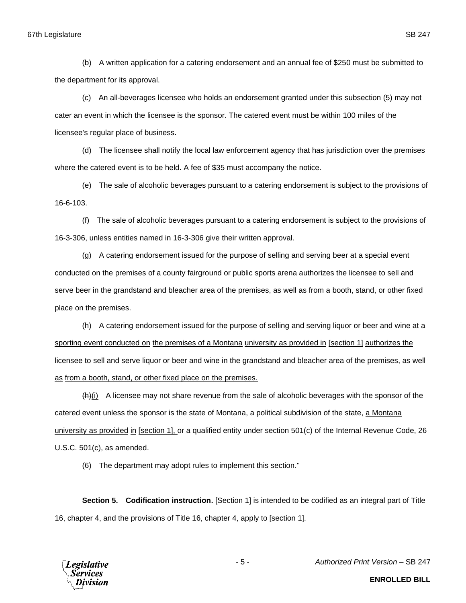(b) A written application for a catering endorsement and an annual fee of \$250 must be submitted to the department for its approval.

(c) An all-beverages licensee who holds an endorsement granted under this subsection (5) may not cater an event in which the licensee is the sponsor. The catered event must be within 100 miles of the licensee's regular place of business.

(d) The licensee shall notify the local law enforcement agency that has jurisdiction over the premises where the catered event is to be held. A fee of \$35 must accompany the notice.

(e) The sale of alcoholic beverages pursuant to a catering endorsement is subject to the provisions of 16-6-103.

(f) The sale of alcoholic beverages pursuant to a catering endorsement is subject to the provisions of 16-3-306, unless entities named in 16-3-306 give their written approval.

(g) A catering endorsement issued for the purpose of selling and serving beer at a special event conducted on the premises of a county fairground or public sports arena authorizes the licensee to sell and serve beer in the grandstand and bleacher area of the premises, as well as from a booth, stand, or other fixed place on the premises.

(h) A catering endorsement issued for the purpose of selling and serving liquor or beer and wine at a sporting event conducted on the premises of a Montana university as provided in [section 1] authorizes the licensee to sell and serve liquor or beer and wine in the grandstand and bleacher area of the premises, as well as from a booth, stand, or other fixed place on the premises.

 $(h)(i)$  A licensee may not share revenue from the sale of alcoholic beverages with the sponsor of the catered event unless the sponsor is the state of Montana, a political subdivision of the state, a Montana university as provided in [section 1], or a qualified entity under section 501(c) of the Internal Revenue Code, 26 U.S.C. 501(c), as amended.

(6) The department may adopt rules to implement this section."

**Section 5. Codification instruction.** [Section 1] is intended to be codified as an integral part of Title 16, chapter 4, and the provisions of Title 16, chapter 4, apply to [section 1].



- 5 - *Authorized Print Version* – SB 247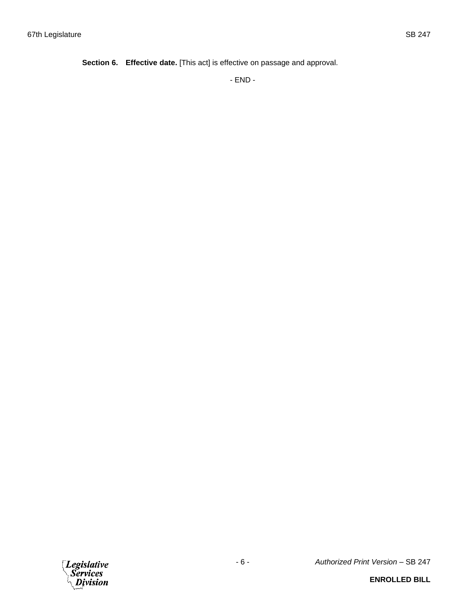**Section 6. Effective date.** [This act] is effective on passage and approval.

- END -

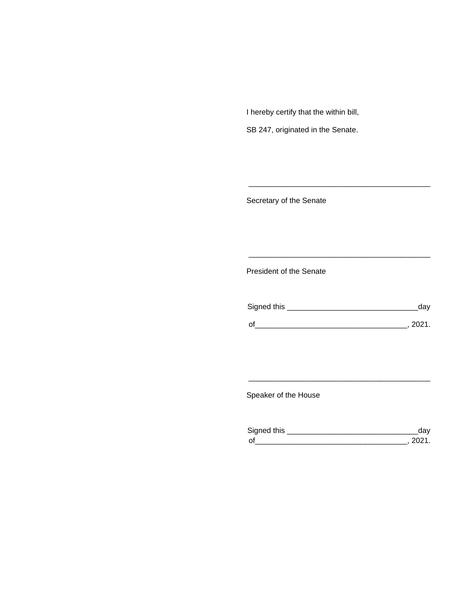I hereby certify that the within bill,

SB 247, originated in the Senate.

Secretary of the Senate

President of the Senate

| Signed this |        |
|-------------|--------|
| $\Omega$    | 111'11 |
|             |        |

\_\_\_\_\_\_\_\_\_\_\_\_\_\_\_\_\_\_\_\_\_\_\_\_\_\_\_\_\_\_\_\_\_\_\_\_\_\_\_\_\_\_\_

\_\_\_\_\_\_\_\_\_\_\_\_\_\_\_\_\_\_\_\_\_\_\_\_\_\_\_\_\_\_\_\_\_\_\_\_\_\_\_\_\_\_\_

Speaker of the House

| Sianed this |  |
|-------------|--|
| $\Omega$    |  |

\_\_\_\_\_\_\_\_\_\_\_\_\_\_\_\_\_\_\_\_\_\_\_\_\_\_\_\_\_\_\_\_\_\_\_\_\_\_\_\_\_\_\_